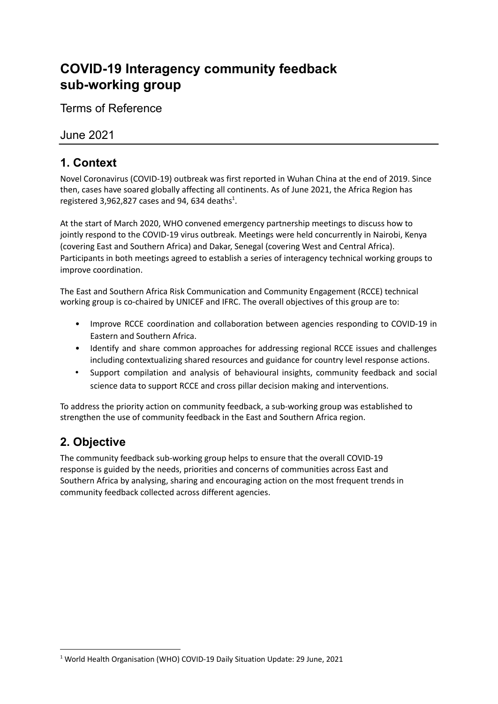# **COVID-19 Interagency community feedback sub-working group**

Terms of Reference

#### June 2021

# **1. Context**

Novel Coronavirus (COVID-19) outbreak was first reported in Wuhan China at the end of 2019. Since then, cases have soared globally affecting all continents. As of June 2021, the Africa Region has registered 3,962,827 cases and 94, 634 deaths $^{1}$ .

At the start of March 2020, WHO convened emergency partnership meetings to discuss how to jointly respond to the COVID-19 virus outbreak. Meetings were held concurrently in Nairobi, Kenya (covering East and Southern Africa) and Dakar, Senegal (covering West and Central Africa). Participants in both meetings agreed to establish a series of interagency technical working groups to improve coordination.

The East and Southern Africa Risk Communication and Community Engagement (RCCE) technical working group is co-chaired by UNICEF and IFRC. The overall objectives of this group are to:

- Improve RCCE coordination and collaboration between agencies responding to COVID-19 in Eastern and Southern Africa.
- Identify and share common approaches for addressing regional RCCE issues and challenges including contextualizing shared resources and guidance for country level response actions.
- Support compilation and analysis of behavioural insights, community feedback and social science data to support RCCE and cross pillar decision making and interventions.

To address the priority action on community feedback, a sub-working group was established to strengthen the use of community feedback in the East and Southern Africa region.

# **2. Objective**

The community feedback sub-working group helps to ensure that the overall COVID-19 response is guided by the needs, priorities and concerns of communities across East and Southern Africa by analysing, sharing and encouraging action on the most frequent trends in community feedback collected across different agencies.

<sup>1</sup> World Health Organisation (WHO) COVID-19 Daily Situation Update: 29 June, 2021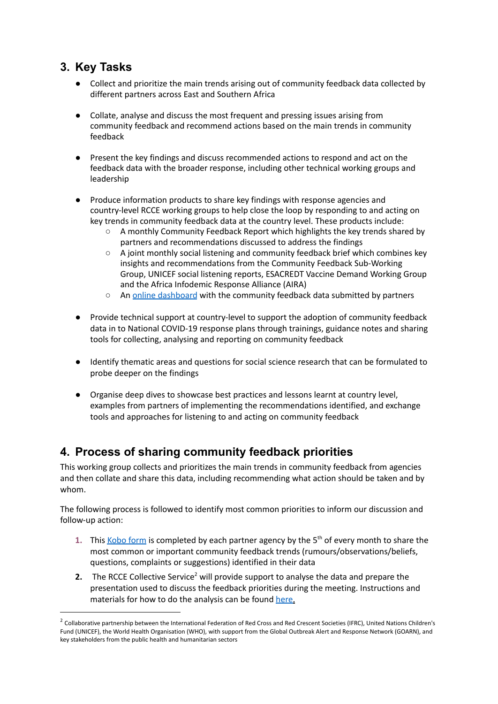## **3. Key Tasks**

- Collect and prioritize the main trends arising out of community feedback data collected by different partners across East and Southern Africa
- Collate, analyse and discuss the most frequent and pressing issues arising from community feedback and recommend actions based on the main trends in community feedback
- Present the key findings and discuss recommended actions to respond and act on the feedback data with the broader response, including other technical working groups and leadership
- Produce information products to share key findings with response agencies and country-level RCCE working groups to help close the loop by responding to and acting on key trends in community feedback data at the country level. These products include:
	- A monthly Community Feedback Report which highlights the key trends shared by partners and recommendations discussed to address the findings
	- A joint monthly social listening and community feedback brief which combines key insights and recommendations from the Community Feedback Sub-Working Group, UNICEF social listening reports, ESACREDT Vaccine Demand Working Group and the Africa Infodemic Response Alliance (AIRA)
	- An online [dashboard](https://app.powerbi.com/view?r=eyJrIjoiZDhiYjljMTQtNWZhYi00Mjc4LWIwNTktM2NmNzY0OTJmNDQ4IiwidCI6IjNlNzE3NjQ5LWMwYzMtNGNiYi05YjRiLTJmYTRkZmNhOTZiZSJ9&pageName=ReportSectionbadb4a1b41951c46f81b) with the community feedback data submitted by partners
- Provide technical support at country-level to support the adoption of community feedback data in to National COVID-19 response plans through trainings, guidance notes and sharing tools for collecting, analysing and reporting on community feedback
- Identify thematic areas and questions for social science research that can be formulated to probe deeper on the findings
- Organise deep dives to showcase best practices and lessons learnt at country level, examples from partners of implementing the recommendations identified, and exchange tools and approaches for listening to and acting on community feedback

# **4. Process of sharing community feedback priorities**

This working group collects and prioritizes the main trends in community feedback from agencies and then collate and share this data, including recommending what action should be taken and by whom.

The following process is followed to identify most common priorities to inform our discussion and follow-up action:

- 1. This [Kobo](https://ee.humanitarianresponse.info/x/9nUHzXAL) form is completed by each partner agency by the 5<sup>th</sup> of every month to share the most common or important community feedback trends (rumours/observations/beliefs, questions, complaints or suggestions) identified in their data
- **2.** The RCCE Collective Service<sup>2</sup> will provide support to analyse the data and prepare the presentation used to discuss the feedback priorities during the meeting. Instructions and materials for how to do the analysis can be found [here.](https://drive.google.com/drive/folders/13osx-n5aV_XZEJkZWK7sEYYNZ5Fk423x?usp=sharing)

<sup>&</sup>lt;sup>2</sup> Collaborative partnership between the International Federation of Red Cross and Red Crescent Societies (IFRC), United Nations Children's Fund (UNICEF), the World Health Organisation (WHO), with support from the Global Outbreak Alert and Response Network (GOARN), and key stakeholders from the public health and humanitarian sectors